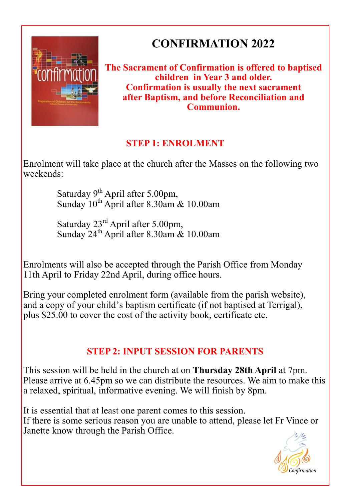

# **CONFIRMATION 2022**

#### **The Sacrament of Confirmation is offered to baptised children in Year 3 and older. Confirmation is usually the next sacrament after Baptism, and before Reconciliation and Communion.**

### **STEP 1: ENROLMENT**

Enrolment will take place at the church after the Masses on the following two weekends:

> Saturday 9<sup>th</sup> April after 5.00pm, Sunday 10<sup>th</sup> April after 8.30am & 10.00am

> Saturday 23rd April after 5.00pm, Sunday  $24^{\text{th}}$  April after 8.30am & 10.00am

Enrolments will also be accepted through the Parish Office from Monday 11th April to Friday 22nd April, during office hours.

Bring your completed enrolment form (available from the parish website), and a copy of your child's baptism certificate (if not baptised at Terrigal), plus \$25.00 to cover the cost of the activity book, certificate etc.

### **STEP 2: INPUT SESSION FOR PARENTS**

This session will be held in the church at on **Thursday 28th April** at 7pm. Please arrive at 6.45pm so we can distribute the resources. We aim to make this a relaxed, spiritual, informative evening. We will finish by 8pm.

It is essential that at least one parent comes to this session. If there is some serious reason you are unable to attend, please let Fr Vince or Janette know through the Parish Office.